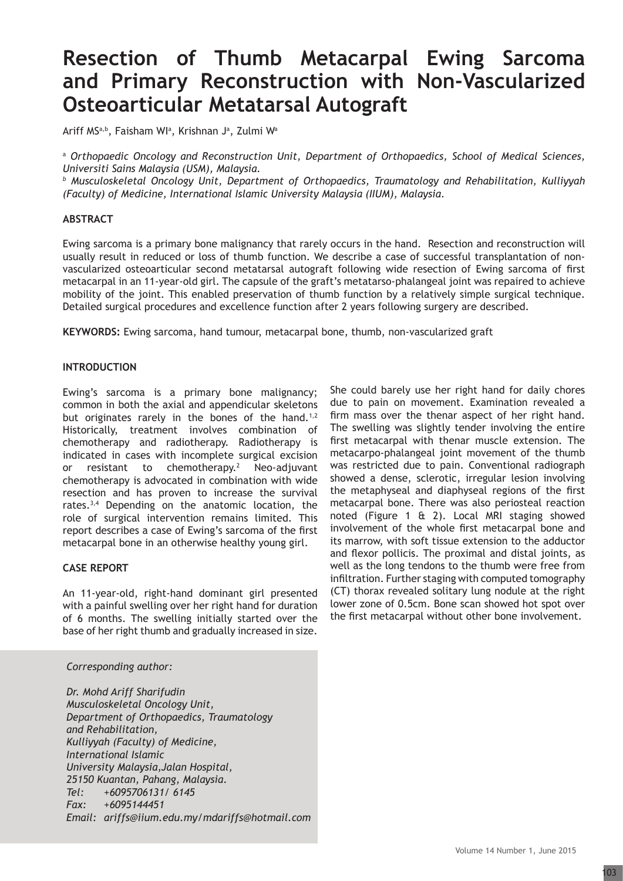# **Resection of Thumb Metacarpal Ewing Sarcoma and Primary Reconstruction with Non-Vascularized Osteoarticular Metatarsal Autograft**

Ariff MSª,b, Faisham WIª, Krishnan Jª, Zulmi Wª

<sup>a</sup> *Orthopaedic Oncology and Reconstruction Unit, Department of Orthopaedics, School of Medical Sciences, Universiti Sains Malaysia (USM), Malaysia.*

*b Musculoskeletal Oncology Unit, Department of Orthopaedics, Traumatology and Rehabilitation, Kulliyyah (Faculty) of Medicine, International Islamic University Malaysia (IIUM), Malaysia.*

## **ABSTRACT**

Ewing sarcoma is a primary bone malignancy that rarely occurs in the hand. Resection and reconstruction will usually result in reduced or loss of thumb function. We describe a case of successful transplantation of nonvascularized osteoarticular second metatarsal autograft following wide resection of Ewing sarcoma of first metacarpal in an 11-year-old girl. The capsule of the graft's metatarso-phalangeal joint was repaired to achieve mobility of the joint. This enabled preservation of thumb function by a relatively simple surgical technique. Detailed surgical procedures and excellence function after 2 years following surgery are described.

**KEYWORDS:** Ewing sarcoma, hand tumour, metacarpal bone, thumb, non-vascularized graft

#### **INTRODUCTION**

Ewing's sarcoma is a primary bone malignancy; common in both the axial and appendicular skeletons but originates rarely in the bones of the hand.<sup>1,2</sup> Historically, treatment involves combination of chemotherapy and radiotherapy. Radiotherapy is indicated in cases with incomplete surgical excision or resistant to chemotherapy.<sup>2</sup> Neo-adjuvant chemotherapy is advocated in combination with wide resection and has proven to increase the survival rates.3,4 Depending on the anatomic location, the role of surgical intervention remains limited. This report describes a case of Ewing's sarcoma of the first metacarpal bone in an otherwise healthy young girl.

## **CASE REPORT**

An 11-year-old, right-hand dominant girl presented with a painful swelling over her right hand for duration of 6 months. The swelling initially started over the base of her right thumb and gradually increased in size.

## *Corresponding author:*

*Dr. Mohd Ariff Sharifudin Musculoskeletal Oncology Unit, Department of Orthopaedics, Traumatology and Rehabilitation, Kulliyyah (Faculty) of Medicine, International Islamic University Malaysia,Jalan Hospital, 25150 Kuantan, Pahang, Malaysia. Tel: +6095706131/ 6145 Fax: +6095144451 Email: ariffs@iium.edu.my/mdariffs@hotmail.com* She could barely use her right hand for daily chores due to pain on movement. Examination revealed a firm mass over the thenar aspect of her right hand. The swelling was slightly tender involving the entire first metacarpal with thenar muscle extension. The metacarpo-phalangeal joint movement of the thumb was restricted due to pain. Conventional radiograph showed a dense, sclerotic, irregular lesion involving the metaphyseal and diaphyseal regions of the first metacarpal bone. There was also periosteal reaction noted (Figure 1 & 2). Local MRI staging showed involvement of the whole first metacarpal bone and its marrow, with soft tissue extension to the adductor and flexor pollicis. The proximal and distal joints, as well as the long tendons to the thumb were free from infiltration. Further staging with computed tomography (CT) thorax revealed solitary lung nodule at the right lower zone of 0.5cm. Bone scan showed hot spot over the first metacarpal without other bone involvement.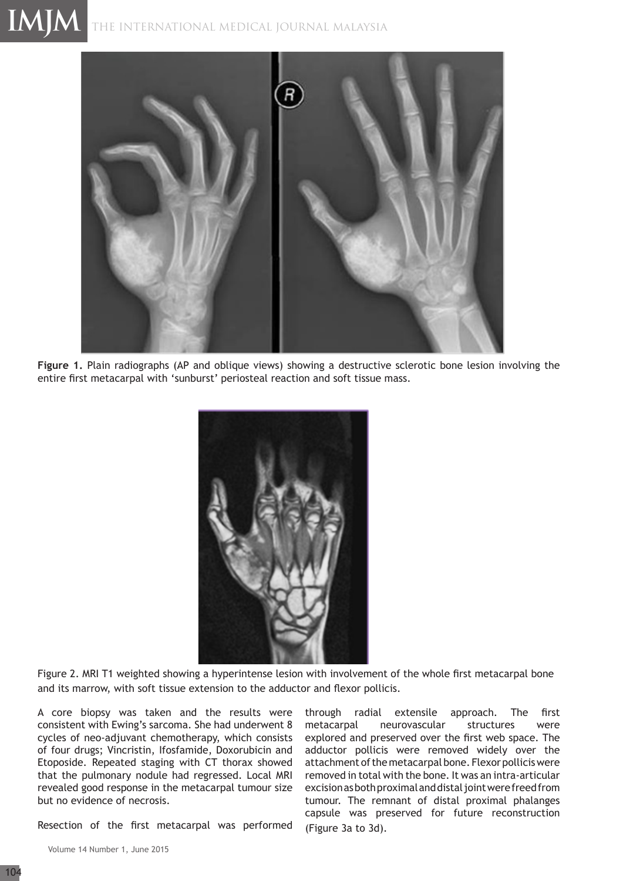# THE INTERNATIONAL MEDICAL JOURNAL Malaysia **IMJM**



**Figure 1.** Plain radiographs (AP and oblique views) showing a destructive sclerotic bone lesion involving the entire first metacarpal with 'sunburst' periosteal reaction and soft tissue mass.



Figure 2. MRI T1 weighted showing a hyperintense lesion with involvement of the whole first metacarpal bone and its marrow, with soft tissue extension to the adductor and flexor pollicis.

A core biopsy was taken and the results were consistent with Ewing's sarcoma. She had underwent 8 cycles of neo-adjuvant chemotherapy, which consists of four drugs; Vincristin, Ifosfamide, Doxorubicin and Etoposide. Repeated staging with CT thorax showed that the pulmonary nodule had regressed. Local MRI revealed good response in the metacarpal tumour size but no evidence of necrosis.

Resection of the first metacarpal was performed

through radial extensile approach. The first metacarpal neurovascular structures were explored and preserved over the first web space. The adductor pollicis were removed widely over the attachment of the metacarpal bone. Flexor pollicis were removed in total with the bone. It was an intra-articular excision as both proximal and distal joint were freed from tumour. The remnant of distal proximal phalanges capsule was preserved for future reconstruction (Figure 3a to 3d).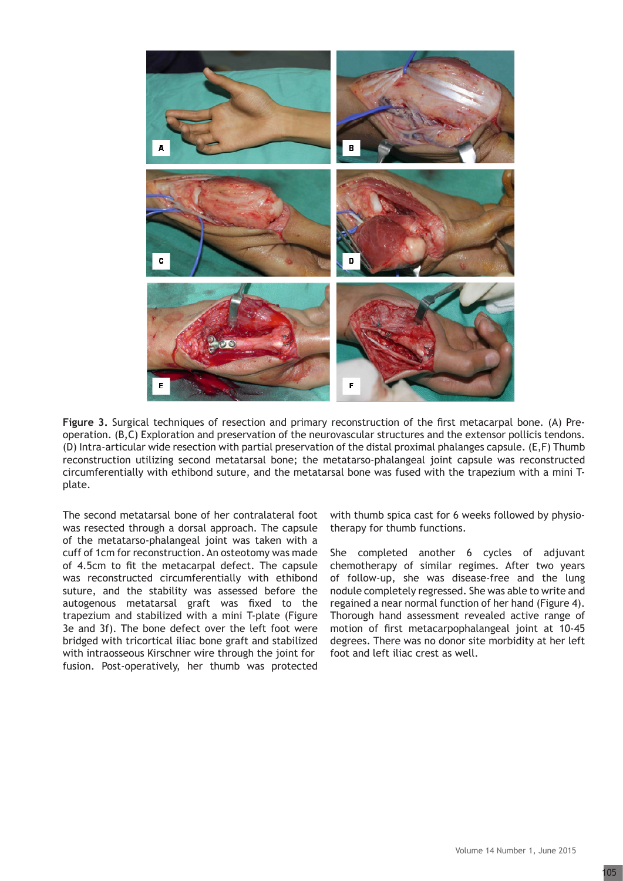

**Figure 3.** Surgical techniques of resection and primary reconstruction of the first metacarpal bone. (A) Preoperation. (B,C) Exploration and preservation of the neurovascular structures and the extensor pollicis tendons. (D) Intra-articular wide resection with partial preservation of the distal proximal phalanges capsule. (E,F) Thumb reconstruction utilizing second metatarsal bone; the metatarso-phalangeal joint capsule was reconstructed circumferentially with ethibond suture, and the metatarsal bone was fused with the trapezium with a mini Tplate.

The second metatarsal bone of her contralateral foot was resected through a dorsal approach. The capsule of the metatarso-phalangeal joint was taken with a cuff of 1cm for reconstruction. An osteotomy was made of 4.5cm to fit the metacarpal defect. The capsule was reconstructed circumferentially with ethibond suture, and the stability was assessed before the autogenous metatarsal graft was fixed to the trapezium and stabilized with a mini T-plate (Figure 3e and 3f). The bone defect over the left foot were bridged with tricortical iliac bone graft and stabilized with intraosseous Kirschner wire through the joint for fusion. Post-operatively, her thumb was protected

with thumb spica cast for 6 weeks followed by physiotherapy for thumb functions.

She completed another 6 cycles of adjuvant chemotherapy of similar regimes. After two years of follow-up, she was disease-free and the lung nodule completely regressed. She was able to write and regained a near normal function of her hand (Figure 4). Thorough hand assessment revealed active range of motion of first metacarpophalangeal joint at 10-45 degrees. There was no donor site morbidity at her left foot and left iliac crest as well.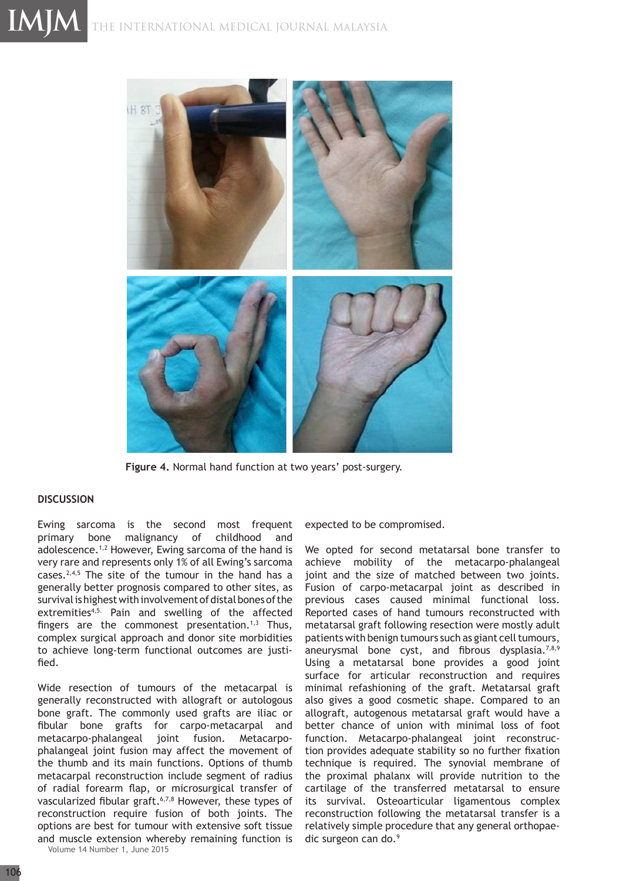

**Figure 4.** Normal hand function at two years' post-surgery.

#### **DISCUSSION**

Ewing sarcoma is the second most frequent primary bone malignancy of childhood and adolescence.1,2 However, Ewing sarcoma of the hand is very rare and represents only 1% of all Ewing's sarcoma cases.<sup>2,4,5</sup> The site of the tumour in the hand has a generally better prognosis compared to other sites, as survival is highest with involvement of distal bones of the extremities<sup>4,5.</sup> Pain and swelling of the affected fingers are the commonest presentation.<sup>1,3</sup> Thus, complex surgical approach and donor site morbidities to achieve long-term functional outcomes are justified.

Wide resection of tumours of the metacarpal is generally reconstructed with allograft or autologous bone graft. The commonly used grafts are iliac or fibular bone grafts for carpo-metacarpal and metacarpo-phalangeal joint fusion. Metacarpophalangeal joint fusion may affect the movement of the thumb and its main functions. Options of thumb metacarpal reconstruction include segment of radius of radial forearm flap, or microsurgical transfer of vascularized fibular graft.<sup>6,7,8</sup> However, these types of reconstruction require fusion of both joints. The options are best for tumour with extensive soft tissue and muscle extension whereby remaining function is

Volume 14 Number 1, June 2015

expected to be compromised.

We opted for second metatarsal bone transfer to achieve mobility of the metacarpo-phalangeal joint and the size of matched between two joints. Fusion of carpo-metacarpal joint as described in previous cases caused minimal functional loss. Reported cases of hand tumours reconstructed with metatarsal graft following resection were mostly adult patients with benign tumours such as giant cell tumours, aneurysmal bone cyst, and fibrous dysplasia.<sup>7,8,9</sup> Using a metatarsal bone provides a good joint surface for articular reconstruction and requires minimal refashioning of the graft. Metatarsal graft also gives a good cosmetic shape. Compared to an allograft, autogenous metatarsal graft would have a better chance of union with minimal loss of foot function. Metacarpo-phalangeal joint reconstruction provides adequate stability so no further fixation technique is required. The synovial membrane of the proximal phalanx will provide nutrition to the cartilage of the transferred metatarsal to ensure its survival. Osteoarticular ligamentous complex reconstruction following the metatarsal transfer is a relatively simple procedure that any general orthopaedic surgeon can do.9